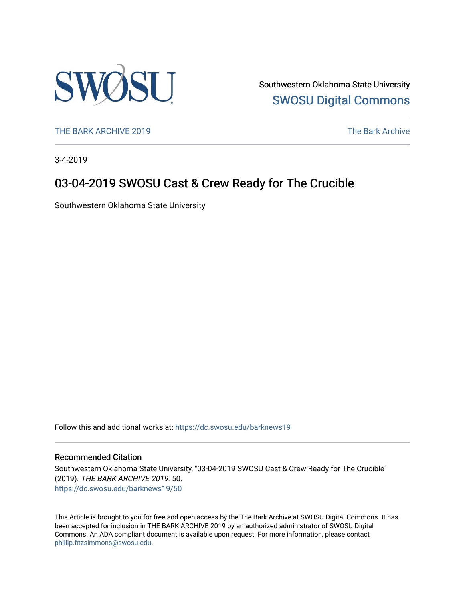

Southwestern Oklahoma State University [SWOSU Digital Commons](https://dc.swosu.edu/) 

[THE BARK ARCHIVE 2019](https://dc.swosu.edu/barknews19) The Bark Archive

3-4-2019

## 03-04-2019 SWOSU Cast & Crew Ready for The Crucible

Southwestern Oklahoma State University

Follow this and additional works at: [https://dc.swosu.edu/barknews19](https://dc.swosu.edu/barknews19?utm_source=dc.swosu.edu%2Fbarknews19%2F50&utm_medium=PDF&utm_campaign=PDFCoverPages)

#### Recommended Citation

Southwestern Oklahoma State University, "03-04-2019 SWOSU Cast & Crew Ready for The Crucible" (2019). THE BARK ARCHIVE 2019. 50. [https://dc.swosu.edu/barknews19/50](https://dc.swosu.edu/barknews19/50?utm_source=dc.swosu.edu%2Fbarknews19%2F50&utm_medium=PDF&utm_campaign=PDFCoverPages) 

This Article is brought to you for free and open access by the The Bark Archive at SWOSU Digital Commons. It has been accepted for inclusion in THE BARK ARCHIVE 2019 by an authorized administrator of SWOSU Digital Commons. An ADA compliant document is available upon request. For more information, please contact [phillip.fitzsimmons@swosu.edu](mailto:phillip.fitzsimmons@swosu.edu).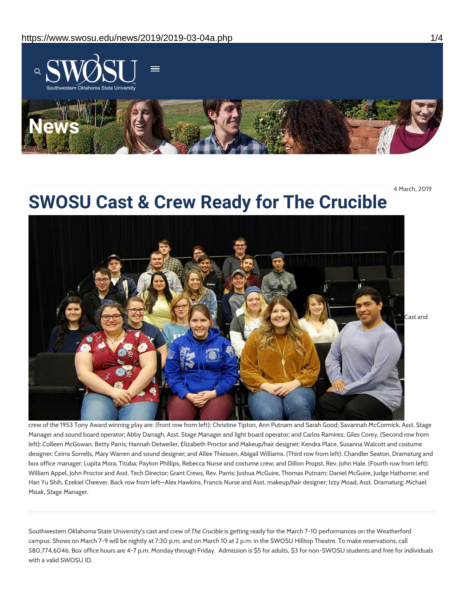

4 March, 2019

# **SWOSU Cast & Crew Ready for The Crucible**



crew of the 1953 Tony Award winning play are: (front row from left): Christine Tipton, Ann Putnam and Sarah Good; Savannah McCormick, Asst. Stage Manager and sound board operator; Abby Darragh, Asst. Stage Manager and light board operator; and Carlos Ramirez, Giles Corey. (Second row from left): Colleen McGowan, Betty Parris; Hannah Detweiler, Elizabeth Proctor and Makeup/hair designer; Kendra Place, Susanna Walcott and costume designer; Ceirra Sorrells, Mary Warren and sound designer; and Allee Thiessen, Abigail Williams. (Third row from left): Chandler Seaton, Dramaturg and box office manager; Lupita Mora, Tituba; Payton Phillips, Rebecca Nurse and costume crew; and Dillon Propst, Rev. John Hale. (Fourth row from left): William Appel, John Proctor and Asst. Tech Director; Grant Crews, Rev. Parris; Joshua McGuire, Thomas Putnam; Daniel McGuire, Judge Hathorne; and Han Yu Shih, Ezekiel Cheever. Back row from left—Alex Hawkins, Francis Nurse and Asst. makeup/hair designer; Izzy Moad, Asst. Dramaturg; Michael Misak, Stage Manager.

Southwestern Oklahoma State University's cast and crew of *The Crucible* is getting ready for the March 7-10 performances on the Weatherford campus. Shows on March 7-9 will be nightly at 7:30 p.m. and on March 10 at 2 p.m. in the SWOSU Hilltop Theatre. To make reservations, call 580.774.6046. Box office hours are 4-7 p.m. Monday through Friday. Admission is \$5 for adults, \$3 for non-SWOSU students and free for individuals with a valid SWOSU ID.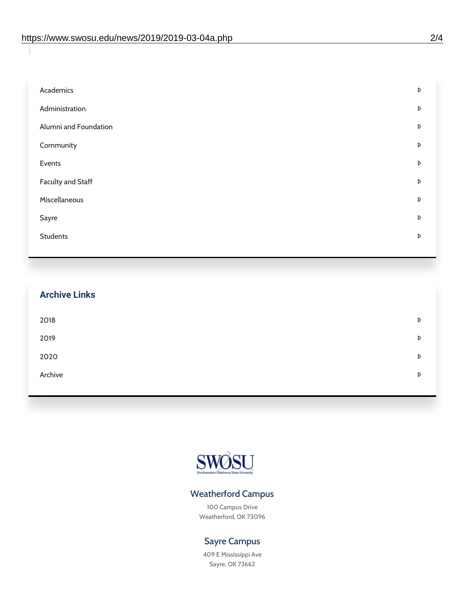| Academics                | D |
|--------------------------|---|
| Administration           | D |
| Alumni and Foundation    | D |
| Community                | D |
| Events                   | D |
| <b>Faculty and Staff</b> | D |
| Miscellaneous            | D |
| Sayre                    | D |
| <b>Students</b>          | D |
|                          |   |

| <b>Archive Links</b> |   |
|----------------------|---|
| 2018                 | D |
| 2019                 | D |
| 2020                 | D |
| Archive              | D |
|                      |   |



### Weatherford Campus

100 Campus Drive Weatherford, OK 73096

### Sayre Campus

409 E Mississippi Ave Sayre, OK 73662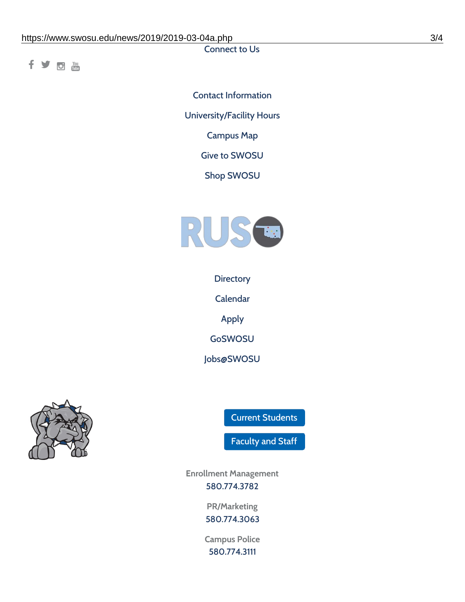Connect to Us

fyom

Contact [Information](https://www.swosu.edu/about/contact.php) [University/Facility](https://www.swosu.edu/about/operating-hours.php) Hours [Campus](https://map.concept3d.com/?id=768#!ct/10964,10214,10213,10212,10205,10204,10203,10202,10136,10129,10128,0,31226,10130,10201,10641,0) Map Give to [SWOSU](https://standingfirmly.com/donate) Shop [SWOSU](https://shopswosu.merchorders.com/)



**[Directory](https://www.swosu.edu/directory/index.php)** 

[Calendar](https://eventpublisher.dudesolutions.com/swosu/)

[Apply](https://www.swosu.edu/admissions/apply-to-swosu.php)

[GoSWOSU](https://qlsso.quicklaunchsso.com/home/1267)

[Jobs@SWOSU](https://swosu.csod.com/ux/ats/careersite/1/home?c=swosu)



Current [Students](https://bulldog.swosu.edu/index.php)

[Faculty](https://bulldog.swosu.edu/faculty-staff/index.php) and Staff

**Enrollment Management** [580.774.3782](tel:5807743782)

> **PR/Marketing** [580.774.3063](tel:5807743063)

**Campus Police** [580.774.3111](tel:5807743111)